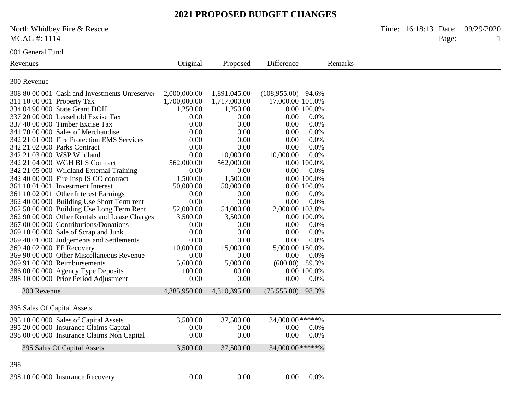North Whidbey Fire & Rescue Time: 16:18:13 Date: 09/29/2020<br>MCAG #: 1114 Page: 1 MCAG #: 1114 Page: 1

#### 001 General Fund

| Revenues                                                                    | Original                     | Proposed                     | Difference                       |             | Remarks |
|-----------------------------------------------------------------------------|------------------------------|------------------------------|----------------------------------|-------------|---------|
| 300 Revenue                                                                 |                              |                              |                                  |             |         |
|                                                                             |                              |                              |                                  |             |         |
| 308 80 00 001 Cash and Investments Unreserved<br>311 10 00 001 Property Tax | 2,000,000.00<br>1,700,000.00 | 1,891,045.00<br>1,717,000.00 | (108,955.00)<br>17,000.00 101.0% | 94.6%       |         |
| 334 04 90 000 State Grant DOH                                               | 1,250.00                     | 1,250.00                     |                                  | 0.00 100.0% |         |
| 337 20 00 000 Leasehold Excise Tax                                          | 0.00                         | 0.00                         | 0.00                             | 0.0%        |         |
| 337 40 00 000 Timber Excise Tax                                             | 0.00                         | 0.00                         | 0.00                             | 0.0%        |         |
| 341 70 00 000 Sales of Merchandise                                          | 0.00                         | 0.00                         | 0.00                             | 0.0%        |         |
| 342 21 01 000 Fire Protection EMS Services                                  | 0.00                         | 0.00                         | 0.00                             | 0.0%        |         |
| 342 21 02 000 Parks Contract                                                | 0.00                         | 0.00                         | 0.00                             | 0.0%        |         |
| 342 21 03 000 WSP Wildland                                                  | 0.00                         | 10,000.00                    | 10,000.00                        | 0.0%        |         |
| 342 21 04 000 WGH BLS Contract                                              | 562,000.00                   | 562,000.00                   |                                  | 0.00 100.0% |         |
| 342 21 05 000 Wildland External Training                                    | 0.00                         | 0.00                         | 0.00                             | 0.0%        |         |
| 342 40 00 000 Fire Insp IS CO contract                                      | 1,500.00                     | 1,500.00                     |                                  | 0.00 100.0% |         |
| 361 10 01 001 Investment Interest                                           | 50,000.00                    | 50,000.00                    |                                  | 0.00 100.0% |         |
| 361 10 02 001 Other Interest Earnings                                       | 0.00                         | 0.00                         | 0.00                             | 0.0%        |         |
| 362 40 00 000 Building Use Short Term rent                                  | 0.00                         | 0.00                         | 0.00                             | 0.0%        |         |
| 362 50 00 000 Building Use Long Term Rent                                   | 52,000.00                    | 54,000.00                    | 2,000.00 103.8%                  |             |         |
| 362 90 00 000 Other Rentals and Lease Charges                               | 3,500.00                     | 3,500.00                     |                                  | 0.00 100.0% |         |
| 367 00 00 000 Contributions/Donations                                       | 0.00                         | 0.00                         | 0.00                             | 0.0%        |         |
| 369 10 00 000 Sale of Scrap and Junk                                        | 0.00                         | 0.00                         | 0.00                             | 0.0%        |         |
| 369 40 01 000 Judgements and Settlements                                    | 0.00                         | 0.00                         | 0.00                             | 0.0%        |         |
| 369 40 02 000 EF Recovery                                                   | 10,000.00                    | 15,000.00                    | 5,000.00 150.0%                  |             |         |
| 369 90 00 000 Other Miscellaneous Revenue                                   | 0.00                         | 0.00                         | 0.00                             | 0.0%        |         |
| 369 91 00 000 Reimbursements                                                | 5,600.00                     | 5,000.00                     | (600.00)                         | 89.3%       |         |
| 386 00 00 000 Agency Type Deposits                                          | 100.00                       | 100.00                       |                                  | 0.00 100.0% |         |
| 388 10 00 000 Prior Period Adjustment                                       | 0.00                         | 0.00                         | 0.00                             | 0.0%        |         |
| 300 Revenue                                                                 | 4,385,950.00                 | 4,310,395.00                 | (75,555.00)                      | 98.3%       |         |
| 395 Sales Of Capital Assets                                                 |                              |                              |                                  |             |         |
| 395 10 00 000 Sales of Capital Assets                                       | 3,500.00                     | 37,500.00                    | 34,000.00 *****%                 |             |         |
| 395 20 00 000 Insurance Claims Capital                                      | 0.00                         | 0.00                         | 0.00                             | 0.0%        |         |
| 398 00 00 000 Insurance Claims Non Capital                                  | 0.00                         | 0.00                         | 0.00                             | 0.0%        |         |
| 395 Sales Of Capital Assets                                                 | 3,500.00                     | 37,500.00                    | 34,000.00 *****%                 |             |         |
| 398                                                                         |                              |                              |                                  |             |         |
|                                                                             |                              |                              |                                  |             |         |
| 398 10 00 000 Insurance Recovery                                            | 0.00                         | 0.00                         | 0.00                             | 0.0%        |         |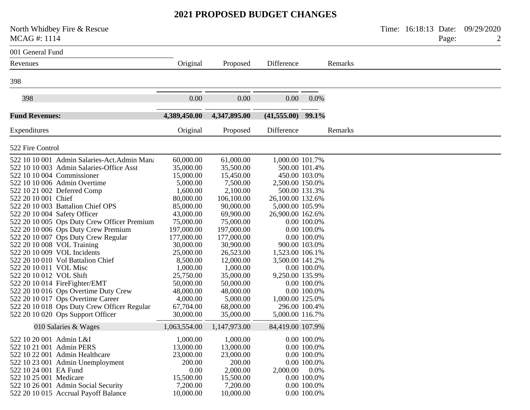| North Whidbey Fire & Rescue<br>MCAG#: 1114                                                                                                                                                                                                                                                                                                                                                                                                                                                                                                                                                                                                                                                                                                                              |                                                                                                                                                                                                                                                                            |                                                                                                                                                                                                                                                                              |                                                                                                                                                                                              |                                                                                                                                                                             |         | Time: 16:18:13 Date: | Page: | 09/29/2020 |
|-------------------------------------------------------------------------------------------------------------------------------------------------------------------------------------------------------------------------------------------------------------------------------------------------------------------------------------------------------------------------------------------------------------------------------------------------------------------------------------------------------------------------------------------------------------------------------------------------------------------------------------------------------------------------------------------------------------------------------------------------------------------------|----------------------------------------------------------------------------------------------------------------------------------------------------------------------------------------------------------------------------------------------------------------------------|------------------------------------------------------------------------------------------------------------------------------------------------------------------------------------------------------------------------------------------------------------------------------|----------------------------------------------------------------------------------------------------------------------------------------------------------------------------------------------|-----------------------------------------------------------------------------------------------------------------------------------------------------------------------------|---------|----------------------|-------|------------|
| 001 General Fund                                                                                                                                                                                                                                                                                                                                                                                                                                                                                                                                                                                                                                                                                                                                                        |                                                                                                                                                                                                                                                                            |                                                                                                                                                                                                                                                                              |                                                                                                                                                                                              |                                                                                                                                                                             |         |                      |       |            |
| Revenues                                                                                                                                                                                                                                                                                                                                                                                                                                                                                                                                                                                                                                                                                                                                                                | Original                                                                                                                                                                                                                                                                   | Proposed                                                                                                                                                                                                                                                                     | Difference                                                                                                                                                                                   |                                                                                                                                                                             | Remarks |                      |       |            |
| 398                                                                                                                                                                                                                                                                                                                                                                                                                                                                                                                                                                                                                                                                                                                                                                     |                                                                                                                                                                                                                                                                            |                                                                                                                                                                                                                                                                              |                                                                                                                                                                                              |                                                                                                                                                                             |         |                      |       |            |
| 398                                                                                                                                                                                                                                                                                                                                                                                                                                                                                                                                                                                                                                                                                                                                                                     | 0.00                                                                                                                                                                                                                                                                       | 0.00                                                                                                                                                                                                                                                                         | 0.00                                                                                                                                                                                         | $0.0\%$                                                                                                                                                                     |         |                      |       |            |
| <b>Fund Revenues:</b>                                                                                                                                                                                                                                                                                                                                                                                                                                                                                                                                                                                                                                                                                                                                                   | 4,389,450.00                                                                                                                                                                                                                                                               | 4,347,895.00                                                                                                                                                                                                                                                                 | $(41,555.00)$ 99.1%                                                                                                                                                                          |                                                                                                                                                                             |         |                      |       |            |
| Expenditures                                                                                                                                                                                                                                                                                                                                                                                                                                                                                                                                                                                                                                                                                                                                                            | Original                                                                                                                                                                                                                                                                   | Proposed                                                                                                                                                                                                                                                                     | Difference                                                                                                                                                                                   |                                                                                                                                                                             | Remarks |                      |       |            |
| 522 Fire Control                                                                                                                                                                                                                                                                                                                                                                                                                                                                                                                                                                                                                                                                                                                                                        |                                                                                                                                                                                                                                                                            |                                                                                                                                                                                                                                                                              |                                                                                                                                                                                              |                                                                                                                                                                             |         |                      |       |            |
| 522 10 10 001 Admin Salaries-Act. Admin Mana<br>522 10 10 003 Admin Salaries-Office Asst<br>522 10 10 004 Commissioner<br>522 10 10 006 Admin Overtime<br>522 10 21 002 Deferred Comp<br>522 20 10 001 Chief<br>522 20 10 003 Battalion Chief OPS<br>522 20 10 004 Safety Officer<br>522 20 10 005 Ops Duty Crew Officer Premium<br>522 20 10 006 Ops Duty Crew Premium<br>522 20 10 007 Ops Duty Crew Regular<br>522 20 10 008 VOL Training<br>522 20 10 009 VOL Incidents<br>522 20 10 010 Vol Battalion Chief<br>522 20 10 011 VOL Misc<br>522 20 10 012 VOL Shift<br>522 20 10 014 FireFighter/EMT<br>522 20 10 016 Ops Overtime Duty Crew<br>522 20 10 017 Ops Overtime Career<br>522 20 10 018 Ops Duty Crew Officer Regular<br>522 20 10 020 Ops Support Officer | 60,000.00<br>35,000.00<br>15,000.00<br>5,000.00<br>1,600.00<br>80,000.00<br>85,000.00<br>43,000.00<br>75,000.00<br>197,000.00<br>177,000.00<br>30,000.00<br>25,000.00<br>8,500.00<br>1,000.00<br>25,750.00<br>50,000.00<br>48,000.00<br>4,000.00<br>67,704.00<br>30,000.00 | 61,000.00<br>35,500.00<br>15,450.00<br>7,500.00<br>2,100.00<br>106,100.00<br>90,000.00<br>69,900.00<br>75,000.00<br>197,000.00<br>177,000.00<br>30,900.00<br>26,523.00<br>12,000.00<br>1,000.00<br>35,000.00<br>50,000.00<br>48,000.00<br>5,000.00<br>68,000.00<br>35,000.00 | 1,000.00 101.7%<br>2,500.00 150.0%<br>26,100.00 132.6%<br>5,000.00 105.9%<br>26,900.00 162.6%<br>1,523.00 106.1%<br>3,500.00 141.2%<br>9,250.00 135.9%<br>1,000.00 125.0%<br>5,000.00 116.7% | 500.00 101.4%<br>450.00 103.0%<br>500.00 131.3%<br>0.00 100.0%<br>0.00 100.0%<br>0.00 100.0%<br>900.00 103.0%<br>0.00 100.0%<br>0.00 100.0%<br>0.00 100.0%<br>296.00 100.4% |         |                      |       |            |
| 010 Salaries & Wages                                                                                                                                                                                                                                                                                                                                                                                                                                                                                                                                                                                                                                                                                                                                                    | 1,063,554.00                                                                                                                                                                                                                                                               | 1,147,973.00                                                                                                                                                                                                                                                                 | 84,419.00 107.9%                                                                                                                                                                             |                                                                                                                                                                             |         |                      |       |            |
| 522 10 20 001 Admin L&I<br>522 10 21 001 Admin PERS<br>522 10 22 001 Admin Healthcare<br>522 10 23 001 Admin Unemployment<br>522 10 24 001 EA Fund<br>522 10 25 001 Medicare<br>522 10 26 001 Admin Social Security<br>522 20 10 015 Accrual Payoff Balance                                                                                                                                                                                                                                                                                                                                                                                                                                                                                                             | 1,000.00<br>13,000.00<br>23,000.00<br>200.00<br>0.00<br>15,500.00<br>7,200.00<br>10,000.00                                                                                                                                                                                 | 1,000.00<br>13,000.00<br>23,000.00<br>200.00<br>2,000.00<br>15,500.00<br>7,200.00<br>10,000.00                                                                                                                                                                               | 2,000.00                                                                                                                                                                                     | 0.00 100.0%<br>0.00 100.0%<br>0.00 100.0%<br>0.00 100.0%<br>$0.0\%$<br>0.00 100.0%<br>0.00 100.0%<br>0.00 100.0%                                                            |         |                      |       |            |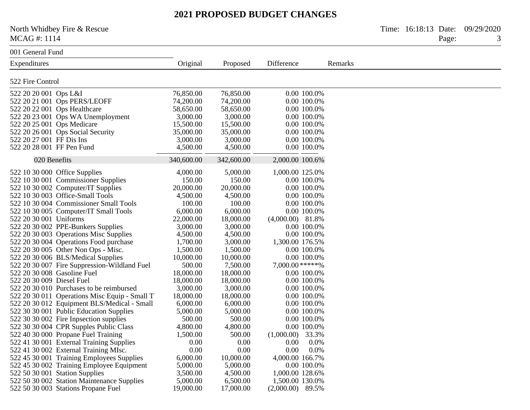North Whidbey Fire & Rescue Time: 16:18:13 Date: 09/29/2020 MCAG #: 1114 Page: 3

001 General Fund

| Expenditures                                  | Original   | Proposed   | Difference          | Remarks |
|-----------------------------------------------|------------|------------|---------------------|---------|
| 522 Fire Control                              |            |            |                     |         |
| 522 20 20 001 Ops L&I                         | 76,850.00  | 76,850.00  | 0.00 100.0%         |         |
| 522 20 21 001 Ops PERS/LEOFF                  | 74,200.00  | 74,200.00  | 0.00 100.0%         |         |
| 522 20 22 001 Ops Healthcare                  | 58,650.00  | 58,650.00  | 0.00 100.0%         |         |
| 522 20 23 001 Ops WA Unemployment             | 3,000.00   | 3,000.00   | 0.00 100.0%         |         |
| 522 20 25 001 Ops Medicare                    | 15,500.00  | 15,500.00  | 0.00 100.0%         |         |
| 522 20 26 001 Ops Social Security             | 35,000.00  | 35,000.00  | 0.00 100.0%         |         |
| 522 20 27 001 FF Dis Ins                      | 3,000.00   | 3,000.00   | 0.00 100.0%         |         |
| 522 20 28 001 FF Pen Fund                     | 4,500.00   | 4,500.00   | 0.00 100.0%         |         |
| 020 Benefits                                  | 340,600.00 | 342,600.00 | 2,000.00 100.6%     |         |
| 522 10 30 000 Office Supplies                 | 4,000.00   | 5,000.00   | 1,000.00 125.0%     |         |
| 522 10 30 001 Commissioner Supplies           | 150.00     | 150.00     | 0.00 100.0%         |         |
| 522 10 30 002 Computer/IT Supplies            | 20,000.00  | 20,000.00  | 0.00 100.0%         |         |
| 522 10 30 003 Office-Small Tools              | 4,500.00   | 4,500.00   | 0.00 100.0%         |         |
| 522 10 30 004 Commissioner Small Tools        | 100.00     | 100.00     | 0.00 100.0%         |         |
| 522 10 30 005 Computer/IT Small Tools         | 6,000.00   | 6,000.00   | 0.00 100.0%         |         |
| 522 20 30 001 Uniforms                        | 22,000.00  | 18,000.00  | $(4,000.00)$ 81.8%  |         |
| 522 20 30 002 PPE-Bunkers Supplies            | 3,000.00   | 3,000.00   | 0.00 100.0%         |         |
| 522 20 30 003 Operations Misc Supplies        | 4,500.00   | 4,500.00   | 0.00 100.0%         |         |
| 522 20 30 004 Operations Food purchase        | 1,700.00   | 3,000.00   | 1,300.00 176.5%     |         |
| 522 20 30 005 Other Non Ops - Misc.           | 1,500.00   | 1,500.00   | 0.00 100.0%         |         |
| 522 20 30 006 BLS/Medical Supplies            | 10,000.00  | 10,000.00  | 0.00 100.0%         |         |
| 522 20 30 007 Fire Suppression-Wildland Fuel  | 500.00     | 7,500.00   | 7,000.00 *****%     |         |
| 522 20 30 008 Gasoline Fuel                   | 18,000.00  | 18,000.00  | 0.00 100.0%         |         |
| 522 20 30 009 Diesel Fuel                     | 18,000.00  | 18,000.00  | 0.00 100.0%         |         |
| 522 20 30 010 Purchases to be reimbursed      | 3,000.00   | 3,000.00   | 0.00 100.0%         |         |
| 522 20 30 011 Operations Misc Equip - Small T | 18,000.00  | 18,000.00  | 0.00 100.0%         |         |
| 522 20 30 012 Equipment BLS/Medical - Small   | 6,000.00   | 6,000.00   | 0.00 100.0%         |         |
| 522 30 30 001 Public Education Supplies       | 5,000.00   | 5,000.00   | 0.00 100.0%         |         |
| 522 30 30 002 Fire Inpsection supplies        | 500.00     | 500.00     | 0.00 100.0%         |         |
| 522 30 30 004 CPR Supples Public Class        | 4,800.00   | 4,800.00   | 0.00 100.0%         |         |
| 522 40 30 000 Propane Fuel Training           | 1,500.00   | 500.00     | 33.3%<br>(1,000.00) |         |
| 522 41 30 001 External Training Supplies      | 0.00       | 0.00       | 0.00<br>0.0%        |         |
| 522 41 30 002 External Training MIsc.         | 0.00       | 0.00       | 0.00<br>0.0%        |         |
| 522 45 30 001 Training Employees Supplies     | 6,000.00   | 10,000.00  | 4,000.00 166.7%     |         |
| 522 45 30 002 Training Employee Equipment     | 5,000.00   | 5,000.00   | 0.00 100.0%         |         |
| 522 50 30 001 Station Supplies                | 3,500.00   | 4,500.00   | 1,000.00 128.6%     |         |
| 522 50 30 002 Station Maintenance Supplies    | 5,000.00   | 6,500.00   | 1,500.00 130.0%     |         |
| 522 50 30 003 Stations Propane Fuel           | 19,000.00  | 17,000.00  | $(2,000.00)$ 89.5%  |         |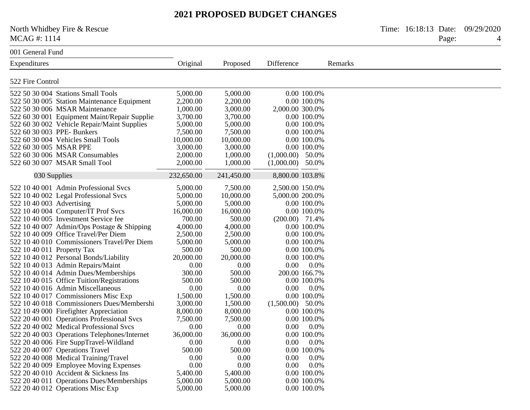North Whidbey Fire & Rescue Time: 16:18:13 Date: 09/29/2020 MCAG #: 1114 Page: 4

001 General Fund

| Expenditures                                 | Original   | Proposed   | Difference         | Remarks |
|----------------------------------------------|------------|------------|--------------------|---------|
| 522 Fire Control                             |            |            |                    |         |
| 522 50 30 004 Stations Small Tools           | 5,000.00   | 5,000.00   | 0.00 100.0%        |         |
| 522 50 30 005 Station Maintenance Equipment  | 2,200.00   | 2,200.00   | 0.00 100.0%        |         |
| 522 50 30 006 MSAR Maintenance               | 1,000.00   | 3,000.00   | 2,000.00 300.0%    |         |
|                                              | 3,700.00   | 3,700.00   |                    |         |
| 522 60 30 001 Equipment Maint/Repair Supplie |            |            | 0.00 100.0%        |         |
| 522 60 30 002 Vehicle Repair/Maint Supplies  | 5,000.00   | 5,000.00   | 0.00 100.0%        |         |
| 522 60 30 003 PPE- Bunkers                   | 7,500.00   | 7,500.00   | 0.00 100.0%        |         |
| 522 60 30 004 Vehicles Small Tools           | 10,000.00  | 10,000.00  | 0.00 100.0%        |         |
| 522 60 30 005 MSAR PPE                       | 3,000.00   | 3,000.00   | 0.00 100.0%        |         |
| 522 60 30 006 MSAR Consumables               | 2,000.00   | 1,000.00   | $(1,000.00)$ 50.0% |         |
| 522 60 30 007 MSAR Small Tool                | 2,000.00   | 1,000.00   | $(1,000.00)$ 50.0% |         |
| 030 Supplies                                 | 232,650.00 | 241,450.00 | 8,800.00 103.8%    |         |
| 522 10 40 001 Admin Professional Svcs        | 5,000.00   | 7,500.00   | 2,500.00 150.0%    |         |
| 522 10 40 002 Legal Professional Svcs        | 5,000.00   | 10,000.00  | 5,000.00 200.0%    |         |
| 522 10 40 003 Advertising                    | 5,000.00   | 5,000.00   | 0.00 100.0%        |         |
| 522 10 40 004 Computer/IT Prof Svcs          | 16,000.00  | 16,000.00  | 0.00 100.0%        |         |
| 522 10 40 005 Investment Service fee         | 700.00     | 500.00     | $(200.00)$ 71.4%   |         |
| 522 10 40 007 Admin/Ops Postage & Shipping   | 4,000.00   | 4,000.00   | 0.00 100.0%        |         |
| 522 10 40 009 Office Travel/Per Diem         | 2,500.00   | 2,500.00   | 0.00 100.0%        |         |
| 522 10 40 010 Commissioners Travel/Per Diem  | 5,000.00   | 5,000.00   | 0.00 100.0%        |         |
| 522 10 40 011 Property Tax                   | 500.00     | 500.00     | 0.00 100.0%        |         |
| 522 10 40 012 Personal Bonds/Liability       | 20,000.00  | 20,000.00  | 0.00 100.0%        |         |
| 522 10 40 013 Admin Repairs/Maint            | 0.00       | 0.00       | 0.00<br>0.0%       |         |
| 522 10 40 014 Admin Dues/Memberships         | 300.00     | 500.00     | 200.00 166.7%      |         |
| 522 10 40 015 Office Tuition/Registrations   | 500.00     | 500.00     | 0.00 100.0%        |         |
| 522 10 40 016 Admin Miscellaneous            | 0.00       | 0.00       | 0.00<br>0.0%       |         |
| 522 10 40 017 Commissioners Misc Exp         | 1,500.00   | 1,500.00   | 0.00 100.0%        |         |
| 522 10 40 018 Commissioners Dues/Membershi   | 3,000.00   | 1,500.00   | $(1,500.00)$ 50.0% |         |
| 522 10 49 000 Firefighter Appreciation       | 8,000.00   | 8,000.00   | 0.00 100.0%        |         |
| 522 20 40 001 Operations Professional Svcs   | 7,500.00   | 7,500.00   | 0.00 100.0%        |         |
| 522 20 40 002 Medical Professional Svcs      | 0.00       | 0.00       | 0.00<br>0.0%       |         |
| 522 20 40 003 Operations Telephones/Internet | 36,000.00  | 36,000.00  | 0.00 100.0%        |         |
| 522 20 40 006 Fire SuppTravel-Wildland       | 0.00       | 0.00       | 0.00<br>0.0%       |         |
| 522 20 40 007 Operations Travel              | 500.00     | 500.00     | 0.00 100.0%        |         |
| 522 20 40 008 Medical Training/Travel        | 0.00       | 0.00       | 0.00<br>0.0%       |         |
| 522 20 40 009 Employee Moving Expenses       | 0.00       | 0.00       | 0.0%<br>0.00       |         |
| 522 20 40 010 Accident & Sickness Ins        | 5,400.00   | 5,400.00   | 0.00 100.0%        |         |
| 522 20 40 011 Operations Dues/Memberships    | 5,000.00   | 5,000.00   | 0.00 100.0%        |         |
| 522 20 40 012 Operations Misc Exp            | 5,000.00   | 5,000.00   | 0.00 100.0%        |         |
|                                              |            |            |                    |         |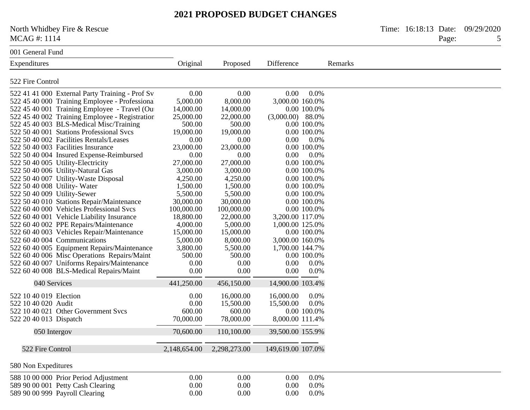North Whidbey Fire & Rescue Time: 16:18:13 Date: 09/29/2020 MCAG #: 1114 Page: 5

| 001 General Fund                        |                                                 |              |              |                    |             |
|-----------------------------------------|-------------------------------------------------|--------------|--------------|--------------------|-------------|
| Expenditures                            |                                                 | Original     | Proposed     | Difference         |             |
| 522 Fire Control                        |                                                 |              |              |                    |             |
|                                         | 522 41 41 000 External Party Training - Prof Sv | 0.00         | 0.00         | 0.00               | 0.0%        |
|                                         | 522 45 40 000 Training Employee - Professional  | 5,000.00     | 8,000.00     | 3,000.00 160.0%    |             |
|                                         | 522 45 40 001 Training Employee - Travel (Out   | 14,000.00    | 14,000.00    |                    | 0.00 100.0% |
|                                         | 522 45 40 002 Training Employee - Registration  | 25,000.00    | 22,000.00    | $(3,000.00)$ 88.0% |             |
|                                         | 522 45 40 003 BLS-Medical Misc/Training         | 500.00       | 500.00       |                    | 0.00 100.0% |
|                                         | 522 50 40 001 Stations Professional Svcs        | 19,000.00    | 19,000.00    |                    | 0.00 100.0% |
| 522 50 40 002 Facilities Rentals/Leases |                                                 | 0.00         | 0.00         | 0.00               | 0.0%        |
| 522 50 40 003 Facilities Insurance      |                                                 | 23,000.00    | 23,000.00    |                    | 0.00 100.0% |
|                                         | 522 50 40 004 Insured Expense-Reimbursed        | 0.00         | 0.00         | 0.00               | 0.0%        |
| 522 50 40 005 Utility-Electricity       |                                                 | 27,000.00    | 27,000.00    |                    | 0.00 100.0% |
| 522 50 40 006 Utility-Natural Gas       |                                                 | 3,000.00     | 3,000.00     |                    | 0.00 100.0% |
| 522 50 40 007 Utility-Waste Disposal    |                                                 | 4,250.00     | 4,250.00     |                    | 0.00 100.0% |
| 522 50 40 008 Utility-Water             |                                                 | 1,500.00     | 1,500.00     |                    | 0.00 100.0% |
| 522 50 40 009 Utility-Sewer             |                                                 | 5,500.00     | 5,500.00     |                    | 0.00 100.0% |
|                                         | 522 50 40 010 Stations Repair/Maintenance       | 30,000.00    | 30,000.00    |                    | 0.00 100.0% |
|                                         | 522 60 40 000 Vehicles Professional Svcs        | 100,000.00   | 100,000.00   |                    | 0.00 100.0% |
|                                         | 522 60 40 001 Vehicle Liability Insurance       | 18,800.00    | 22,000.00    | 3,200.00 117.0%    |             |
|                                         | 522 60 40 002 PPE Repairs/Maintenance           | 4,000.00     | 5,000.00     | 1,000.00 125.0%    |             |
|                                         | 522 60 40 003 Vehicles Repair/Maintenance       | 15,000.00    | 15,000.00    |                    | 0.00 100.0% |
| 522 60 40 004 Communications            |                                                 | 5,000.00     | 8,000.00     | 3,000.00 160.0%    |             |
|                                         | 522 60 40 005 Equipment Repairs/Maintenance     | 3,800.00     | 5,500.00     | 1,700.00 144.7%    |             |
|                                         | 522 60 40 006 Misc Operations Repairs/Maint     | 500.00       | 500.00       |                    | 0.00 100.0% |
|                                         | 522 60 40 007 Uniforms Repairs/Maintenance      | 0.00         | 0.00         | 0.00               | 0.0%        |
|                                         | 522 60 40 008 BLS-Medical Repairs/Maint         | 0.00         | 0.00         | 0.00               | 0.0%        |
| 040 Services                            |                                                 | 441,250.00   | 456,150.00   | 14,900.00 103.4%   |             |
|                                         |                                                 |              |              |                    |             |
| 522 10 40 019 Election                  |                                                 | 0.00         | 16,000.00    | 16,000.00          | 0.0%        |
| 522 10 40 020 Audit                     |                                                 | 0.00         | 15,500.00    | 15,500.00          | 0.0%        |
| 522 10 40 021 Other Government Svcs     |                                                 | 600.00       | 600.00       |                    | 0.00 100.0% |
| 522 20 40 013 Dispatch                  |                                                 | 70,000.00    | 78,000.00    | 8,000.00 111.4%    |             |
| 050 Intergov                            |                                                 | 70,600.00    | 110,100.00   | 39,500.00 155.9%   |             |
| 522 Fire Control                        |                                                 | 2,148,654.00 | 2,298,273.00 | 149,619.00 107.0%  |             |
| 580 Non Expeditures                     |                                                 |              |              |                    |             |
| 588 10 00 000 Prior Period Adjustment   |                                                 | 0.00         | 0.00         | 0.00               | 0.0%        |
| 589 90 00 001 Petty Cash Clearing       |                                                 | 0.00         | 0.00         | 0.00               | 0.0%        |
| 589 90 00 999 Payroll Clearing          |                                                 | 0.00         | 0.00         | 0.00               | 0.0%        |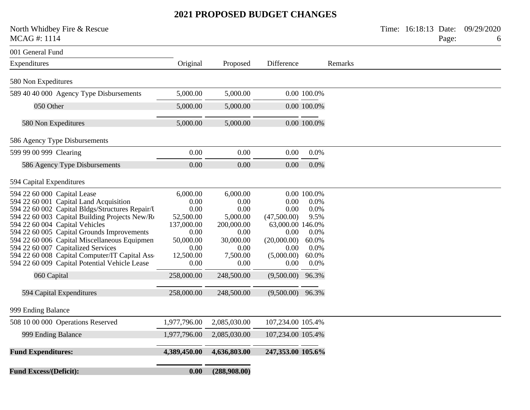North Whidbey Fire & Rescue Time: 16:18:13 Date: 09/29/2020<br>MCAG #: 1114 Page: 6

| 001 General Fund                                |              |              |                    |             |         |
|-------------------------------------------------|--------------|--------------|--------------------|-------------|---------|
| Expenditures                                    | Original     | Proposed     | Difference         |             | Remarks |
|                                                 |              |              |                    |             |         |
| 580 Non Expeditures                             |              |              |                    |             |         |
| 589 40 40 000 Agency Type Disbursements         | 5,000.00     | 5,000.00     |                    | 0.00 100.0% |         |
| 050 Other                                       | 5,000.00     | 5,000.00     |                    | 0.00 100.0% |         |
| 580 Non Expeditures                             | 5,000.00     | 5,000.00     |                    | 0.00 100.0% |         |
| 586 Agency Type Disbursements                   |              |              |                    |             |         |
| 599 99 00 999 Clearing                          | 0.00         | 0.00         | 0.00               | 0.0%        |         |
| 586 Agency Type Disbursements                   | 0.00         | 0.00         | 0.00               | 0.0%        |         |
| 594 Capital Expenditures                        |              |              |                    |             |         |
| 594 22 60 000 Capital Lease                     | 6,000.00     | 6,000.00     |                    | 0.00 100.0% |         |
| 594 22 60 001 Capital Land Acquisition          | 0.00         | 0.00         | 0.00               | 0.0%        |         |
| 594 22 60 002 Capital Bldgs/Structures Repair/U | 0.00         | 0.00         | 0.00               | 0.0%        |         |
| 594 22 60 003 Capital Building Projects New/Rt  | 52,500.00    | 5,000.00     | (47,500.00)        | 9.5%        |         |
| 594 22 60 004 Capital Vehicles                  | 137,000.00   | 200,000.00   | 63,000.00 146.0%   |             |         |
| 594 22 60 005 Capital Grounds Improvements      | 0.00         | 0.00         | 0.00               | 0.0%        |         |
| 594 22 60 006 Capital Miscellaneous Equipmen    | 50,000.00    | 30,000.00    | (20,000.00)        | 60.0%       |         |
| 594 22 60 007 Capitalized Services              | 0.00         | 0.00         | 0.00               | 0.0%        |         |
| 594 22 60 008 Capital Computer/IT Capital Asse  | 12,500.00    | 7,500.00     | (5,000.00)         | 60.0%       |         |
| 594 22 60 009 Capital Potential Vehicle Lease   | 0.00         | 0.00         | 0.00               | 0.0%        |         |
| 060 Capital                                     | 258,000.00   | 248,500.00   | (9,500.00)         | 96.3%       |         |
| 594 Capital Expenditures                        | 258,000.00   | 248,500.00   | $(9,500.00)$ 96.3% |             |         |
| 999 Ending Balance                              |              |              |                    |             |         |
| 508 10 00 000 Operations Reserved               | 1,977,796.00 | 2,085,030.00 | 107,234.00 105.4%  |             |         |
| 999 Ending Balance                              | 1,977,796.00 | 2,085,030.00 | 107,234.00 105.4%  |             |         |
| <b>Fund Expenditures:</b>                       | 4,389,450.00 | 4,636,803.00 | 247,353.00 105.6%  |             |         |
| <b>Fund Excess/(Deficit):</b>                   | 0.00         | (288,908.00) |                    |             |         |